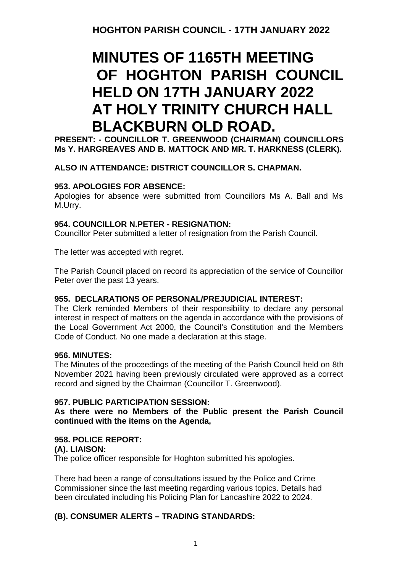## **MINUTES OF 1165TH MEETING OF HOGHTON PARISH COUNCIL HELD ON 17TH JANUARY 2022 AT HOLY TRINITY CHURCH HALL BLACKBURN OLD ROAD.**

**PRESENT: - COUNCILLOR T. GREENWOOD (CHAIRMAN) COUNCILLORS Ms Y. HARGREAVES AND B. MATTOCK AND MR. T. HARKNESS (CLERK).**

#### **ALSO IN ATTENDANCE: DISTRICT COUNCILLOR S. CHAPMAN.**

#### **953. APOLOGIES FOR ABSENCE:**

Apologies for absence were submitted from Councillors Ms A. Ball and Ms M.Urry.

#### **954. COUNCILLOR N.PETER - RESIGNATION:**

Councillor Peter submitted a letter of resignation from the Parish Council.

The letter was accepted with regret.

The Parish Council placed on record its appreciation of the service of Councillor Peter over the past 13 years.

#### **955. DECLARATIONS OF PERSONAL/PREJUDICIAL INTEREST:**

The Clerk reminded Members of their responsibility to declare any personal interest in respect of matters on the agenda in accordance with the provisions of the Local Government Act 2000, the Council's Constitution and the Members Code of Conduct. No one made a declaration at this stage.

#### **956. MINUTES:**

The Minutes of the proceedings of the meeting of the Parish Council held on 8th November 2021 having been previously circulated were approved as a correct record and signed by the Chairman (Councillor T. Greenwood).

#### **957. PUBLIC PARTICIPATION SESSION:**

**As there were no Members of the Public present the Parish Council continued with the items on the Agenda,**

**958. POLICE REPORT: (A). LIAISON:** The police officer responsible for Hoghton submitted his apologies.

There had been a range of consultations issued by the Police and Crime Commissioner since the last meeting regarding various topics. Details had been circulated including his Policing Plan for Lancashire 2022 to 2024.

#### **(B). CONSUMER ALERTS – TRADING STANDARDS:**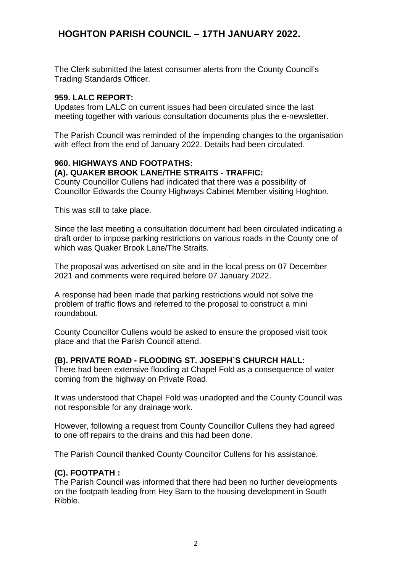## **HOGHTON PARISH COUNCIL – 17TH JANUARY 2022.**

The Clerk submitted the latest consumer alerts from the County Council's Trading Standards Officer.

#### **959. LALC REPORT:**

Updates from LALC on current issues had been circulated since the last meeting together with various consultation documents plus the e-newsletter.

The Parish Council was reminded of the impending changes to the organisation with effect from the end of January 2022. Details had been circulated.

#### **960. HIGHWAYS AND FOOTPATHS:**

#### **(A). QUAKER BROOK LANE/THE STRAITS - TRAFFIC:**

County Councillor Cullens had indicated that there was a possibility of Councillor Edwards the County Highways Cabinet Member visiting Hoghton.

This was still to take place.

Since the last meeting a consultation document had been circulated indicating a draft order to impose parking restrictions on various roads in the County one of which was Quaker Brook Lane/The Straits.

The proposal was advertised on site and in the local press on 07 December 2021 and comments were required before 07 January 2022.

A response had been made that parking restrictions would not solve the problem of traffic flows and referred to the proposal to construct a mini roundabout.

County Councillor Cullens would be asked to ensure the proposed visit took place and that the Parish Council attend.

#### **(B). PRIVATE ROAD - FLOODING ST. JOSEPH`S CHURCH HALL:**

There had been extensive flooding at Chapel Fold as a consequence of water coming from the highway on Private Road.

It was understood that Chapel Fold was unadopted and the County Council was not responsible for any drainage work.

However, following a request from County Councillor Cullens they had agreed to one off repairs to the drains and this had been done.

The Parish Council thanked County Councillor Cullens for his assistance.

#### **(C). FOOTPATH :**

The Parish Council was informed that there had been no further developments on the footpath leading from Hey Barn to the housing development in South Ribble.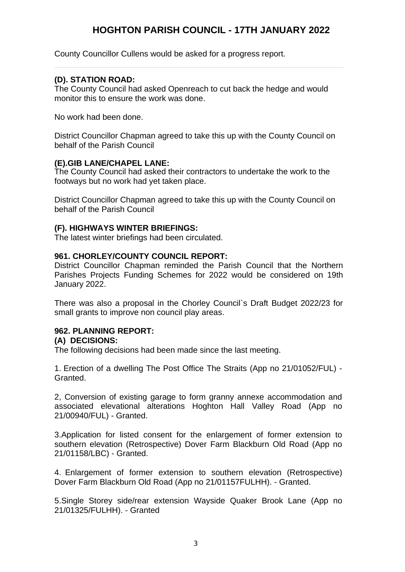### **HOGHTON PARISH COUNCIL - 17TH JANUARY 2022**

County Councillor Cullens would be asked for a progress report.

#### **(D). STATION ROAD:**

The County Council had asked Openreach to cut back the hedge and would monitor this to ensure the work was done.

No work had been done.

District Councillor Chapman agreed to take this up with the County Council on behalf of the Parish Council

#### **(E).GIB LANE/CHAPEL LANE:**

The County Council had asked their contractors to undertake the work to the footways but no work had yet taken place.

District Councillor Chapman agreed to take this up with the County Council on behalf of the Parish Council

#### **(F). HIGHWAYS WINTER BRIEFINGS:**

The latest winter briefings had been circulated.

#### **961. CHORLEY/COUNTY COUNCIL REPORT:**

District Councillor Chapman reminded the Parish Council that the Northern Parishes Projects Funding Schemes for 2022 would be considered on 19th January 2022.

There was also a proposal in the Chorley Council`s Draft Budget 2022/23 for small grants to improve non council play areas.

#### **962. PLANNING REPORT:**

#### **(A) DECISIONS:**

The following decisions had been made since the last meeting.

1. Erection of a dwelling The Post Office The Straits (App no 21/01052/FUL) - Granted.

2, Conversion of existing garage to form granny annexe accommodation and associated elevational alterations Hoghton Hall Valley Road (App no 21/00940/FUL) - Granted.

3.Application for listed consent for the enlargement of former extension to southern elevation (Retrospective) Dover Farm Blackburn Old Road (App no 21/01158/LBC) - Granted.

4. Enlargement of former extension to southern elevation (Retrospective) Dover Farm Blackburn Old Road (App no 21/01157FULHH). - Granted.

5.Single Storey side/rear extension Wayside Quaker Brook Lane (App no 21/01325/FULHH). - Granted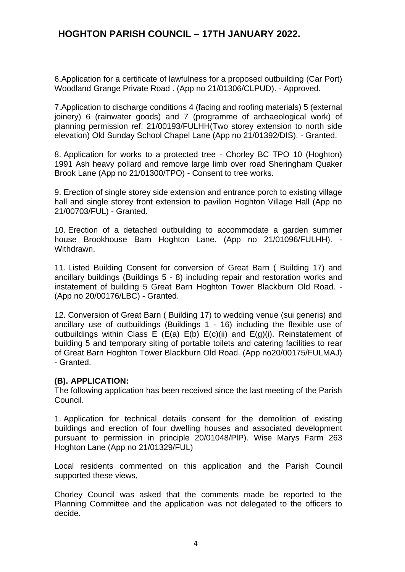## **HOGHTON PARISH COUNCIL – 17TH JANUARY 2022.**

6.Application for a certificate of lawfulness for a proposed outbuilding (Car Port) Woodland Grange Private Road . (App no 21/01306/CLPUD). - Approved.

7.Application to discharge conditions 4 (facing and roofing materials) 5 (external joinery) 6 (rainwater goods) and 7 (programme of archaeological work) of planning permission ref: 21/00193/FULHH(Two storey extension to north side elevation) Old Sunday School Chapel Lane (App no 21/01392/DIS). - Granted.

8. Application for works to a protected tree - Chorley BC TPO 10 (Hoghton) 1991 Ash heavy pollard and remove large limb over road Sheringham Quaker Brook Lane (App no 21/01300/TPO) - Consent to tree works.

9. Erection of single storey side extension and entrance porch to existing village hall and single storey front extension to pavilion Hoghton Village Hall (App no 21/00703/FUL) - Granted.

10. Erection of a detached outbuilding to accommodate a garden summer house Brookhouse Barn Hoghton Lane. (App no 21/01096/FULHH). -Withdrawn.

11. Listed Building Consent for conversion of Great Barn ( Building 17) and ancillary buildings (Buildings 5 - 8) including repair and restoration works and instatement of building 5 Great Barn Hoghton Tower Blackburn Old Road. - (App no 20/00176/LBC) - Granted.

12. Conversion of Great Barn ( Building 17) to wedding venue (sui generis) and ancillary use of outbuildings (Buildings 1 - 16) including the flexible use of outbuildings within Class E (E(a) E(b) E(c)(ii) and E(g)(i). Reinstatement of building 5 and temporary siting of portable toilets and catering facilities to rear of Great Barn Hoghton Tower Blackburn Old Road. (App no20/00175/FULMAJ) - Granted.

#### **(B). APPLICATION:**

The following application has been received since the last meeting of the Parish Council.

1. Application for technical details consent for the demolition of existing buildings and erection of four dwelling houses and associated development pursuant to permission in principle 20/01048/PlP). Wise Marys Farm 263 Hoghton Lane (App no 21/01329/FUL)

Local residents commented on this application and the Parish Council supported these views,

Chorley Council was asked that the comments made be reported to the Planning Committee and the application was not delegated to the officers to decide.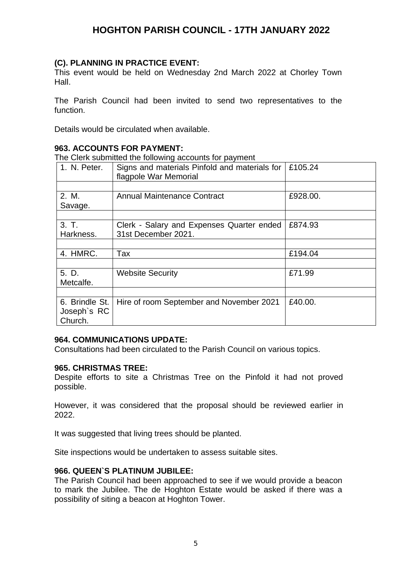## **HOGHTON PARISH COUNCIL - 17TH JANUARY 2022**

#### **(C). PLANNING IN PRACTICE EVENT:**

This event would be held on Wednesday 2nd March 2022 at Chorley Town Hall.

The Parish Council had been invited to send two representatives to the function.

Details would be circulated when available.

#### **963. ACCOUNTS FOR PAYMENT:**

The Clerk submitted the following accounts for payment

| 1. N. Peter.   | Signs and materials Pinfold and materials for<br>flagpole War Memorial | £105.24  |
|----------------|------------------------------------------------------------------------|----------|
|                |                                                                        |          |
| 2. M.          | <b>Annual Maintenance Contract</b>                                     | £928.00. |
| Savage.        |                                                                        |          |
|                |                                                                        |          |
| 3. T.          | Clerk - Salary and Expenses Quarter ended                              | £874.93  |
| Harkness.      | 31st December 2021.                                                    |          |
|                |                                                                        |          |
| 4. HMRC.       | Tax                                                                    | £194.04  |
|                |                                                                        |          |
| 5. D.          | <b>Website Security</b>                                                | £71.99   |
| Metcalfe.      |                                                                        |          |
|                |                                                                        |          |
| 6. Brindle St. | Hire of room September and November 2021                               | £40.00.  |
| Joseph's RC    |                                                                        |          |
| Church.        |                                                                        |          |

#### **964. COMMUNICATIONS UPDATE:**

Consultations had been circulated to the Parish Council on various topics.

#### **965. CHRISTMAS TREE:**

Despite efforts to site a Christmas Tree on the Pinfold it had not proved possible.

However, it was considered that the proposal should be reviewed earlier in 2022.

It was suggested that living trees should be planted.

Site inspections would be undertaken to assess suitable sites.

#### **966. QUEEN`S PLATINUM JUBILEE:**

The Parish Council had been approached to see if we would provide a beacon to mark the Jubilee. The de Hoghton Estate would be asked if there was a possibility of siting a beacon at Hoghton Tower.